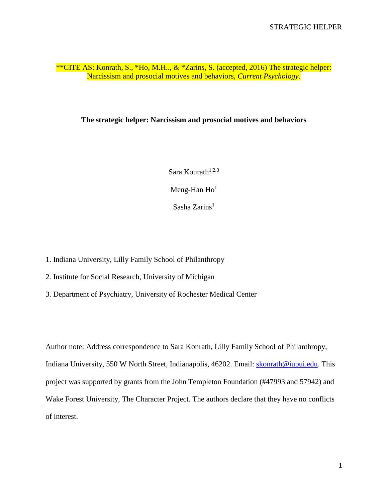\*\*CITE AS: Konrath, S., \*Ho, M.H.., & \*Zarins, S. (accepted, 2016) The strategic helper: Narcissism and prosocial motives and behaviors, *Current Psychology.*

# **The strategic helper: Narcissism and prosocial motives and behaviors**

Sara Konrath $1,2,3$ 

Meng-Han  $Ho<sup>1</sup>$ 

Sasha Zarins<sup>1</sup>

- 1. Indiana University, Lilly Family School of Philanthropy
- 2. Institute for Social Research, University of Michigan
- 3. Department of Psychiatry, University of Rochester Medical Center

Author note: Address correspondence to Sara Konrath, Lilly Family School of Philanthropy, Indiana University, 550 W North Street, Indianapolis, 46202. Email: [skonrath@iupui.edu.](mailto:skonrath@iupui.edu) This project was supported by grants from the John Templeton Foundation (#47993 and 57942) and Wake Forest University, The Character Project. The authors declare that they have no conflicts of interest.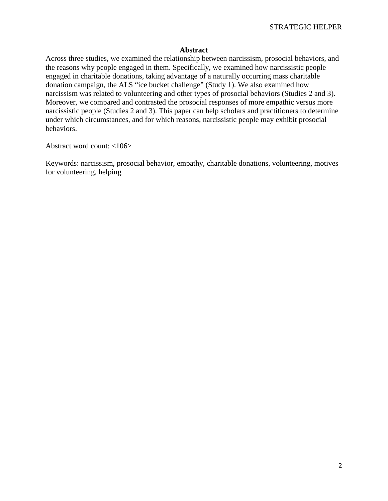# **Abstract**

Across three studies, we examined the relationship between narcissism, prosocial behaviors, and the reasons why people engaged in them. Specifically, we examined how narcissistic people engaged in charitable donations, taking advantage of a naturally occurring mass charitable donation campaign, the ALS "ice bucket challenge" (Study 1). We also examined how narcissism was related to volunteering and other types of prosocial behaviors (Studies 2 and 3). Moreover, we compared and contrasted the prosocial responses of more empathic versus more narcissistic people (Studies 2 and 3). This paper can help scholars and practitioners to determine under which circumstances, and for which reasons, narcissistic people may exhibit prosocial behaviors.

Abstract word count: <106>

Keywords: narcissism, prosocial behavior, empathy, charitable donations, volunteering, motives for volunteering, helping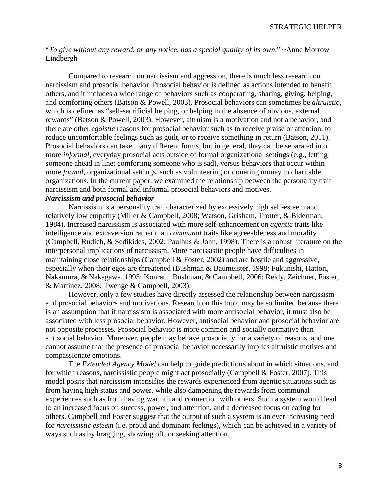"*To give without any reward, or any notice, has a special quality of its own*." ~Anne Morrow Lindbergh

Compared to research on narcissism and aggression, there is much less research on narcissism and prosocial behavior. Prosocial behavior is defined as actions intended to benefit others, and it includes a wide range of behaviors such as cooperating, sharing, giving, helping, and comforting others [\(Batson & Powell,](#page-21-0) 2003). Prosocial behaviors can sometimes be *altruistic*, which is defined as "self-sacrificial helping, or helping in the absence of obvious, external rewards" [\(Batson & Powell, 2003\)](#page-21-0). However, altruism is a motivation and not a behavior, and there are other *egoistic* reasons for prosocial behavior such as to receive praise or attention, to reduce uncomfortable feelings such as guilt, or to receive something in return [\(Batson, 2011\)](#page-21-1). Prosocial behaviors can take many different forms, but in general, they can be separated into more *informal*, everyday prosocial acts outside of formal organizational settings (e.g., letting someone ahead in line; comforting someone who is sad), versus behaviors that occur within more *formal,* organizational settings, such as volunteering or donating money to charitable organizations. In the current paper, we examined the relationship between the personality trait narcissism and both formal and informal prosocial behaviors and motives.

## *Narcissism and prosocial behavior*

Narcissism is a personality trait characterized by excessively high self-esteem and relatively low empathy [\(Miller & Campbell, 2008;](#page-22-0) [Watson, Grisham, Trotter, & Biderman,](#page-23-0)  [1984\)](#page-23-0). Increased narcissism is associated with more self-enhancement on *agentic* traits like intelligence and extraversion rather than *communal* traits like agreeableness and morality [\(Campbell, Rudich, & Sedikides, 2002;](#page-21-2) [Paulhus & John, 1998\)](#page-23-1). There is a robust literature on the interpersonal implications of narcissism. More narcissistic people have difficulties in maintaining close relationships [\(Campbell & Foster, 2002\)](#page-21-3) and are hostile and aggressive, especially when their egos are threatened [\(Bushman & Baumeister, 1998;](#page-21-4) [Fukunishi, Hattori,](#page-22-1)  [Nakamura, & Nakagawa, 1995;](#page-22-1) [Konrath, Bushman, & Campbell, 2006;](#page-22-2) [Reidy, Zeichner, Foster,](#page-23-2)  [& Martinez, 2008;](#page-23-2) [Twenge & Campbell, 2003\)](#page-23-3).

However, only a few studies have directly assessed the relationship between narcissism and prosocial behaviors and motivations. Research on this topic may be so limited because there is an assumption that if narcissism is associated with more antisocial behavior, it must also be associated with less prosocial behavior. However, antisocial behavior and prosocial behavior are not opposite processes. Prosocial behavior is more common and socially normative than antisocial behavior. Moreover, people may behave prosocially for a variety of reasons, and one cannot assume that the presence of prosocial behavior necessarily implies altruistic motives and compassionate emotions.

The *Extended Agency Model* can help to guide predictions about in which situations, and for which reasons, narcissistic people might act prosocially [\(Campbell & Foster, 2007](#page-21-2)). This model posits that narcissism intensifies the rewards experienced from agentic situations such as from having high status and power, while also dampening the rewards from communal experiences such as from having warmth and connection with others. Such a system would lead to an increased focus on success, power, and attention, and a decreased focus on caring for others. Campbell and Foster suggest that the output of such a system is an ever increasing need for *narcissistic esteem* (i.e. proud and dominant feelings), which can be achieved in a variety of ways such as by bragging, showing off, or seeking attention.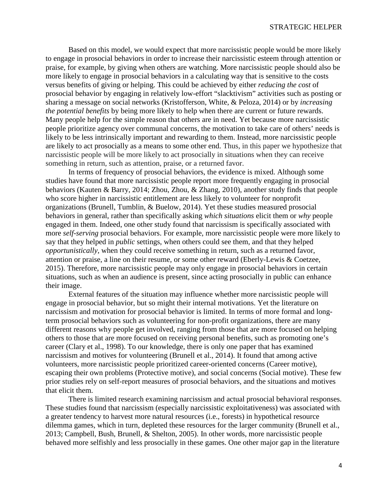Based on this model, we would expect that more narcissistic people would be more likely to engage in prosocial behaviors in order to increase their narcissistic esteem through attention or praise, for example, by giving when others are watching. More narcissistic people should also be more likely to engage in prosocial behaviors in a calculating way that is sensitive to the costs versus benefits of giving or helping. This could be achieved by either *reducing the cost* of prosocial behavior by engaging in relatively low-effort "slacktivism" activities such as posting or sharing a message on social networks [\(Kristofferson, White, & Peloza, 2014\)](#page-22-3) or by *increasing the potential benefits* by being more likely to help when there are current or future rewards. Many people help for the simple reason that others are in need. Yet because more narcissistic people prioritize agency over communal concerns, the motivation to take care of others' needs is likely to be less intrinsically important and rewarding to them. Instead, more narcissistic people are likely to act prosocially as a means to some other end. Thus, in this paper we hypothesize that narcissistic people will be more likely to act prosocially in situations when they can receive something in return, such as attention, praise, or a returned favor.

In terms of frequency of prosocial behaviors, the evidence is mixed. Although some studies have found that more narcissistic people report more frequently engaging in prosocial behaviors [\(Kauten & Barry, 2014;](#page-22-4) [Zhou, Zhou, & Zhang, 2010\)](#page-23-4), another study finds that people who score higher in narcissistic entitlement are less likely to volunteer for nonprofit organizations [\(Brunell, Tumblin, & Buelow, 2014\)](#page-21-5). Yet these studies measured prosocial behaviors in general, rather than specifically asking *which situations* elicit them or *why* people engaged in them. Indeed, one other study found that narcissism is specifically associated with more *self-serving* prosocial behaviors. For example, more narcissistic people were more likely to say that they helped in *public* settings, when others could see them, and that they helped *opportunistically*, when they could receive something in return, such as a returned favor, attention or praise, a line on their resume, or some other reward [\(Eberly-Lewis & Coetzee,](#page-22-5)  [2015\)](#page-22-5). Therefore, more narcissistic people may only engage in prosocial behaviors in certain situations, such as when an audience is present, since acting prosocially in public can enhance their image.

External features of the situation may influence whether more narcissistic people will engage in prosocial behavior, but so might their internal motivations. Yet the literature on narcissism and motivation for prosocial behavior is limited. In terms of more formal and longterm prosocial behaviors such as volunteering for non-profit organizations, there are many different reasons why people get involved, ranging from those that are more focused on helping others to those that are more focused on receiving personal benefits, such as promoting one's career [\(Clary et al., 1998\)](#page-21-6). To our knowledge, there is only one paper that has examined narcissism and motives for volunteering [\(Brunell et al., 2014\)](#page-21-5). It found that among active volunteers, more narcissistic people prioritized career-oriented concerns (Career motive), escaping their own problems (Protective motive), and social concerns (Social motive). These few prior studies rely on self-report measures of prosocial behaviors, and the situations and motives that elicit them.

There is limited research examining narcissism and actual prosocial behavioral responses. These studies found that narcissism (especially narcissistic exploitativeness) was associated with a greater tendency to harvest more natural resources (i.e., forests) in hypothetical resource dilemma games, which in turn, depleted these resources for the larger community [\(Brunell et al.,](#page-21-7)  [2013;](#page-21-7) [Campbell, Bush, Brunell, & Shelton, 2005\)](#page-21-8). In other words, more narcissistic people behaved more selfishly and less prosocially in these games. One other major gap in the literature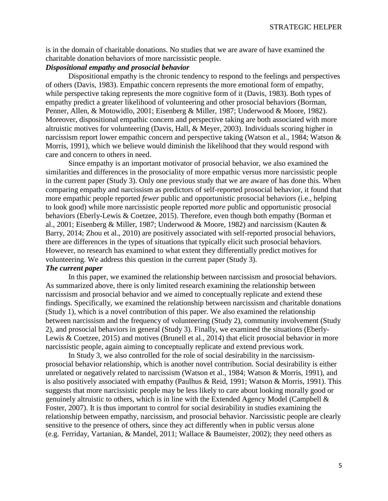is in the domain of charitable donations. No studies that we are aware of have examined the charitable donation behaviors of more narcissistic people.

## *Dispositional empathy and prosocial behavior*

Dispositional empathy is the chronic tendency to respond to the feelings and perspectives of others [\(Davis, 1983\)](#page-21-9). Empathic concern represents the more emotional form of empathy, while perspective taking represents the more cognitive form of it [\(Davis, 1983\)](#page-21-9). Both types of empathy predict a greater likelihood of volunteering and other prosocial behaviors [\(Borman,](#page-21-10)  [Penner, Allen, & Motowidlo, 2001;](#page-21-10) [Eisenberg & Miller, 1987;](#page-22-6) [Underwood & Moore, 1982\)](#page-23-5). Moreover, dispositional empathic concern and perspective taking are both associated with more altruistic motives for volunteering [\(Davis, Hall, & Meyer, 2003\)](#page-21-11). Individuals scoring higher in narcissism report lower empathic concern and perspective taking [\(Watson et al., 1984;](#page-23-0) [Watson &](#page-23-6)  [Morris, 1991\)](#page-23-6), which we believe would diminish the likelihood that they would respond with care and concern to others in need.

Since empathy is an important motivator of prosocial behavior, we also examined the similarities and differences in the prosociality of more empathic versus more narcissistic people in the current paper (Study 3). Only one previous study that we are aware of has done this. When comparing empathy and narcissism as predictors of self-reported prosocial behavior, it found that more empathic people reported *fewer* public and opportunistic prosocial behaviors (i.e., helping to look good) while more narcissistic people reported *more* public and opportunistic prosocial behaviors [\(Eberly-Lewis & Coetzee, 2015\)](#page-22-5). Therefore, even though both empathy [\(Borman et](#page-21-10)  [al., 2001;](#page-21-10) [Eisenberg & Miller, 1987;](#page-22-6) [Underwood & Moore, 1982\)](#page-23-5) and narcissism [\(Kauten &](#page-22-4)  [Barry, 2014;](#page-22-4) [Zhou et al., 2010\)](#page-23-4) are positively associated with self-reported prosocial behaviors, there are differences in the types of situations that typically elicit such prosocial behaviors. However, no research has examined to what extent they differentially predict motives for volunteering. We address this question in the current paper (Study 3).

# *The current paper*

In this paper, we examined the relationship between narcissism and prosocial behaviors. As summarized above, there is only limited research examining the relationship between narcissism and prosocial behavior and we aimed to conceptually replicate and extend these findings. Specifically, we examined the relationship between narcissism and charitable donations (Study 1), which is a novel contribution of this paper. We also examined the relationship between narcissism and the frequency of volunteering (Study 2), community involvement (Study 2), and prosocial behaviors in general (Study 3). Finally, we examined the situations [\(Eberly-](#page-22-5)[Lewis & Coetzee, 2015\)](#page-22-5) and motives [\(Brunell et al., 2014\)](#page-21-5) that elicit prosocial behavior in more narcissistic people, again aiming to conceptually replicate and extend previous work.

In Study 3, we also controlled for the role of social desirability in the narcissismprosocial behavior relationship, which is another novel contribution. Social desirability is either unrelated or negatively related to narcissism [\(Watson et al., 1984;](#page-23-0) [Watson & Morris, 1991\)](#page-23-6), and is also positively associated with empathy [\(Paulhus & Reid, 1991;](#page-23-7) [Watson & Morris, 1991\)](#page-23-6). This suggests that more narcissistic people may be less likely to care about looking morally good or genuinely altruistic to others, which is in line with the Extended Agency Model [\(Campbell &](#page-21-2)  [Foster, 2007](#page-21-2)). It is thus important to control for social desirability in studies examining the relationship between empathy, narcissism, and prosocial behavior. Narcissistic people are clearly sensitive to the presence of others, since they act differently when in public versus alone (e.g. Ferriday, Vartanian, & Mandel, 2011; [Wallace & Baumeister, 2002\)](#page-23-8); they need others as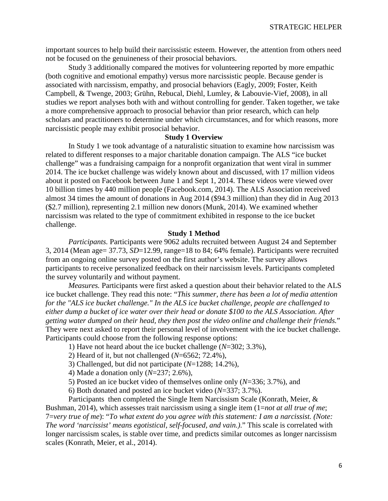important sources to help build their narcissistic esteem. However, the attention from others need not be focused on the genuineness of their prosocial behaviors.

Study 3 additionally compared the motives for volunteering reported by more empathic (both cognitive and emotional empathy) versus more narcissistic people. Because gender is associated with narcissism, empathy, and prosocial behaviors [\(Eagly, 2009;](#page-22-8) [Foster, Keith](#page-22-9)  [Campbell, & Twenge, 2003;](#page-22-9) [Grühn, Rebucal, Diehl, Lumley, & Labouvie-Vief, 2008\)](#page-22-10), in all studies we report analyses both with and without controlling for gender. Taken together, we take a more comprehensive approach to prosocial behavior than prior research, which can help scholars and practitioners to determine under which circumstances, and for which reasons, more narcissistic people may exhibit prosocial behavior.

#### **Study 1 Overview**

In Study 1 we took advantage of a naturalistic situation to examine how narcissism was related to different responses to a major charitable donation campaign. The ALS "ice bucket challenge" was a fundraising campaign for a nonprofit organization that went viral in summer 2014. The ice bucket challenge was widely known about and discussed, with 17 million videos about it posted on Facebook between June 1 and Sept 1, 2014. These videos were viewed over 10 billion times by 440 million people [\(Facebook.com, 2014\)](#page-22-11). The ALS Association received almost 34 times the amount of donations in Aug 2014 (\$94.3 million) than they did in Aug 2013 (\$2.7 million), representing 2.1 million new donors [\(Munk, 2014\)](#page-23-9). We examined whether narcissism was related to the type of commitment exhibited in response to the ice bucket challenge.

### **Study 1 Method**

*Participants.* Participants were 9062 adults recruited between August 24 and September 3, 2014 (Mean age= 37.73, *SD*=12.99, range=18 to 84; 64% female). Participants were recruited from an ongoing online survey posted on the first author's website. The survey allows participants to receive personalized feedback on their narcissism levels. Participants completed the survey voluntarily and without payment.

*Measures.* Participants were first asked a question about their behavior related to the ALS ice bucket challenge. They read this note: "*This summer, there has been a lot of media attention for the "ALS ice bucket challenge." In the ALS ice bucket challenge, people are challenged to either dump a bucket of ice water over their head or donate \$100 to the ALS Association. After getting water dumped on their head, they then post the video online and challenge their friends.*" They were next asked to report their personal level of involvement with the ice bucket challenge. Participants could choose from the following response options:

- 1) Have not heard about the ice bucket challenge (*N*=302; 3.3%),
- 2) Heard of it, but not challenged (*N*=6562; 72.4%),
- 3) Challenged, but did not participate (*N*=1288; 14.2%),
- 4) Made a donation only (*N*=237; 2.6%),
- 5) Posted an ice bucket video of themselves online only (*N*=336; 3.7%), and
- 6) Both donated and posted an ice bucket video (*N*=337; 3.7%).

Participants then completed the Single Item Narcissism Scale (Konrath, Meier, & [Bushman, 2014\)](#page-22-12), which assesses trait narcissism using a single item (1=*not at all true of me*; 7=*very true of me*): "*To what extent do you agree with this statement: I am a narcissist. (Note: The word 'narcissist' means egotistical, self-focused, and vain.)*." This scale is correlated with longer narcissism scales, is stable over time, and predicts similar outcomes as longer narcissism scales [\(Konrath, Meier, et al., 2014\)](#page-22-12).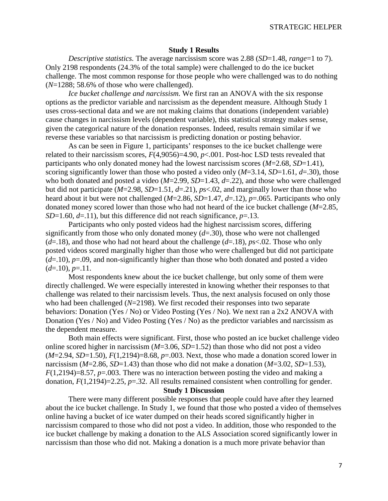## **Study 1 Results**

*Descriptive statistics.* The average narcissism score was 2.88 (*SD*=1.48, *range*=1 to 7). Only 2198 respondents (24.3% of the total sample) were challenged to do the ice bucket challenge. The most common response for those people who were challenged was to do nothing (*N*=1288; 58.6% of those who were challenged).

*Ice bucket challenge and narcissism.* We first ran an ANOVA with the six response options as the predictor variable and narcissism as the dependent measure. Although Study 1 uses cross-sectional data and we are not making claims that donations (independent variable) cause changes in narcissism levels (dependent variable), this statistical strategy makes sense, given the categorical nature of the donation responses. Indeed, results remain similar if we reverse these variables so that narcissism is predicting donation or posting behavior.

As can be seen in Figure 1, participants' responses to the ice bucket challenge were related to their narcissism scores, *F*(4,9056)=4.90, *p*<.001. Post-hoc LSD tests revealed that participants who only donated money had the lowest narcissism scores (*M*=2.68, *SD*=1.41), scoring significantly lower than those who posted a video only (*M*=3.14, *SD*=1.61, *d*=.30), those who both donated and posted a video (*M*=2.99, *SD*=1.43, *d*=.22), and those who were challenged but did not participate (*M*=2.98, *SD*=1.51, *d*=.21), *p*s<.02, and marginally lower than those who heard about it but were not challenged (*M*=2.86, *SD*=1.47, *d*=.12), *p*=.065. Participants who only donated money scored lower than those who had not heard of the ice bucket challenge (*M*=2.85, *SD*=1.60,  $d=$  11), but this difference did not reach significance,  $p=$  13.

Participants who only posted videos had the highest narcissism scores, differing significantly from those who only donated money (*d*=.30), those who were not challenged  $(d=18)$ , and those who had not heard about the challenge  $(d=18)$ ,  $ps<0.02$ . Those who only posted videos scored marginally higher than those who were challenged but did not participate  $(d=10)$ ,  $p=0.09$ , and non-significantly higher than those who both donated and posted a video  $(d=10)$ ,  $p=.11$ .

Most respondents knew about the ice bucket challenge, but only some of them were directly challenged. We were especially interested in knowing whether their responses to that challenge was related to their narcissism levels. Thus, the next analysis focused on only those who had been challenged (*N*=2198). We first recoded their responses into two separate behaviors: Donation (Yes / No) or Video Posting (Yes / No). We next ran a 2x2 ANOVA with Donation (Yes / No) and Video Posting (Yes / No) as the predictor variables and narcissism as the dependent measure.

Both main effects were significant. First, those who posted an ice bucket challenge video online scored higher in narcissism (*M*=3.06, *SD*=1.52) than those who did not post a video (*M*=2.94, *SD*=1.50), *F*(1,2194)=8.68, *p*=.003. Next, those who made a donation scored lower in narcissism ( $M=2.86$ ,  $SD=1.43$ ) than those who did not make a donation ( $M=3.02$ ,  $SD=1.53$ ),  $F(1,2194)=8.57$ ,  $p=.003$ . There was no interaction between posting the video and making a donation, *F*(1,2194)=2.25, *p*=.32. All results remained consistent when controlling for gender.

## **Study 1 Discussion**

There were many different possible responses that people could have after they learned about the ice bucket challenge. In Study 1, we found that those who posted a video of themselves online having a bucket of ice water dumped on their heads scored significantly higher in narcissism compared to those who did not post a video. In addition, those who responded to the ice bucket challenge by making a donation to the ALS Association scored significantly lower in narcissism than those who did not. Making a donation is a much more private behavior than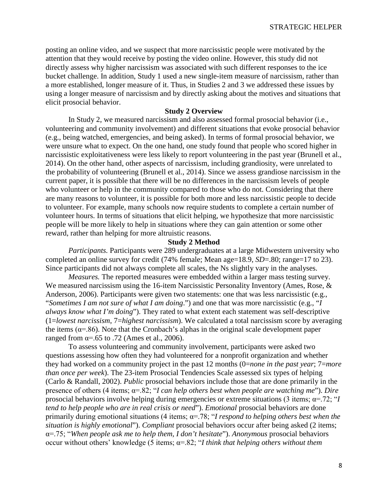posting an online video, and we suspect that more narcissistic people were motivated by the attention that they would receive by posting the video online. However, this study did not directly assess why higher narcissism was associated with such different responses to the ice bucket challenge. In addition, Study 1 used a new single-item measure of narcissism, rather than a more established, longer measure of it. Thus, in Studies 2 and 3 we addressed these issues by using a longer measure of narcissism and by directly asking about the motives and situations that elicit prosocial behavior.

## **Study 2 Overview**

In Study 2, we measured narcissism and also assessed formal prosocial behavior (i.e., volunteering and community involvement) and different situations that evoke prosocial behavior (e.g., being watched, emergencies, and being asked). In terms of formal prosocial behavior, we were unsure what to expect. On the one hand, one study found that people who scored higher in narcissistic exploitativeness were less likely to report volunteering in the past year [\(Brunell et al.,](#page-21-5)  [2014\)](#page-21-5). On the other hand, other aspects of narcissism, including grandiosity, were unrelated to the probability of volunteering [\(Brunell et al., 2014\)](#page-21-5). Since we assess grandiose narcissism in the current paper, it is possible that there will be no differences in the narcissism levels of people who volunteer or help in the community compared to those who do not. Considering that there are many reasons to volunteer, it is possible for both more and less narcissistic people to decide to volunteer. For example, many schools now require students to complete a certain number of volunteer hours. In terms of situations that elicit helping, we hypothesize that more narcissistic people will be more likely to help in situations where they can gain attention or some other reward, rather than helping for more altruistic reasons.

#### **Study 2 Method**

*Participants.* Participants were 289 undergraduates at a large Midwestern university who completed an online survey for credit (74% female; Mean age=18.9, *SD*=.80; range=17 to 23). Since participants did not always complete all scales, the Ns slightly vary in the analyses.

*Measures.* The reported measures were embedded within a larger mass testing survey. We measured narcissism using the 16-item Narcissistic Personality Inventory (Ames, Rose, & [Anderson, 2006\)](#page-21-12). Participants were given two statements: one that was less narcissistic (e.g., "*Sometimes I am not sure of what I am doing*.") and one that was more narcissistic (e.g., "*I always know what I'm doing*"). They rated to what extent each statement was self-descriptive (1=*lowest narcissism*, 7=*highest narcissism*). We calculated a total narcissism score by averaging the items  $(\alpha = 86)$ . Note that the Cronbach's alphas in the original scale development paper ranged from  $\alpha$ =.65 to .72 [\(Ames et al., 2006\)](#page-21-12).

To assess volunteering and community involvement, participants were asked two questions assessing how often they had volunteered for a nonprofit organization and whether they had worked on a community project in the past 12 months (0=*none in the past year*; 7=*more than once per week*). The 23-item Prosocial Tendencies Scale assessed six types of helping [\(Carlo & Randall, 2002\)](#page-21-13). *Public* prosocial behaviors include those that are done primarily in the presence of others (4 items; α=.82; "*I can help others best when people are watching me*"). *Dire* prosocial behaviors involve helping during emergencies or extreme situations (3 items;  $\alpha = .72$ ; "*I tend to help people who are in real crisis or need*"). *Emotional* prosocial behaviors are done primarily during emotional situations (4 items; α=.78; "*I respond to helping others best when the situation is highly emotional*"). *Compliant* prosocial behaviors occur after being asked (2 items; α=.75; "*When people ask me to help them, I don't hesitate*"). *Anonymous* prosocial behaviors occur without others' knowledge (5 items; α=.82; "*I think that helping others without them*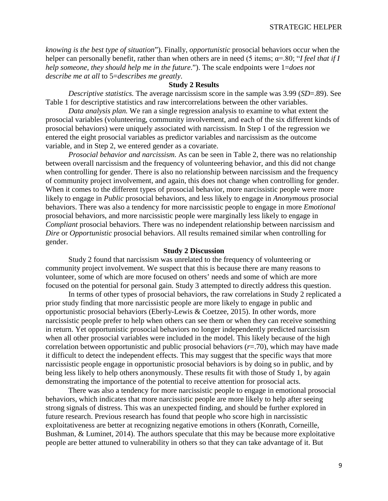*knowing is the best type of situation*"). Finally, *opportunistic* prosocial behaviors occur when the helper can personally benefit, rather than when others are in need (5 items; α=.80; "*I feel that if I help someone, they should help me in the future.*"). The scale endpoints were  $1 =$ *does not describe me at all* to 5=*describes me greatly*.

#### **Study 2 Results**

*Descriptive statistics.* The average narcissism score in the sample was 3.99 (*SD*=.89). See Table 1 for descriptive statistics and raw intercorrelations between the other variables.

*Data analysis plan.* We ran a single regression analysis to examine to what extent the prosocial variables (volunteering, community involvement, and each of the six different kinds of prosocial behaviors) were uniquely associated with narcissism. In Step 1 of the regression we entered the eight prosocial variables as predictor variables and narcissism as the outcome variable, and in Step 2, we entered gender as a covariate.

*Prosocial behavior and narcissism.* As can be seen in Table 2, there was no relationship between overall narcissism and the frequency of volunteering behavior, and this did not change when controlling for gender. There is also no relationship between narcissism and the frequency of community project involvement, and again, this does not change when controlling for gender. When it comes to the different types of prosocial behavior, more narcissistic people were more likely to engage in *Public* prosocial behaviors, and less likely to engage in *Anonymous* prosocial behaviors. There was also a tendency for more narcissistic people to engage in more *Emotional* prosocial behaviors, and more narcissistic people were marginally less likely to engage in *Compliant* prosocial behaviors. There was no independent relationship between narcissism and *Dire* or *Opportunistic* prosocial behaviors. All results remained similar when controlling for gender.

### **Study 2 Discussion**

Study 2 found that narcissism was unrelated to the frequency of volunteering or community project involvement. We suspect that this is because there are many reasons to volunteer, some of which are more focused on others' needs and some of which are more focused on the potential for personal gain. Study 3 attempted to directly address this question.

In terms of other types of prosocial behaviors, the raw correlations in Study 2 replicated a prior study finding that more narcissistic people are more likely to engage in public and opportunistic prosocial behaviors [\(Eberly-Lewis & Coetzee, 2015\)](#page-22-5). In other words, more narcissistic people prefer to help when others can see them or when they can receive something in return. Yet opportunistic prosocial behaviors no longer independently predicted narcissism when all other prosocial variables were included in the model. This likely because of the high correlation between opportunistic and public prosocial behaviors (*r*=.70), which may have made it difficult to detect the independent effects. This may suggest that the specific ways that more narcissistic people engage in opportunistic prosocial behaviors is by doing so in public, and by being less likely to help others anonymously. These results fit with those of Study 1, by again demonstrating the importance of the potential to receive attention for prosocial acts.

There was also a tendency for more narcissistic people to engage in emotional prosocial behaviors, which indicates that more narcissistic people are more likely to help after seeing strong signals of distress. This was an unexpected finding, and should be further explored in future research. Previous research has found that people who score high in narcissistic exploitativeness are better at recognizing negative emotions in others [\(Konrath, Corneille,](#page-22-13)  [Bushman, & Luminet, 2014\)](#page-22-13). The authors speculate that this may be because more exploitative people are better attuned to vulnerability in others so that they can take advantage of it. But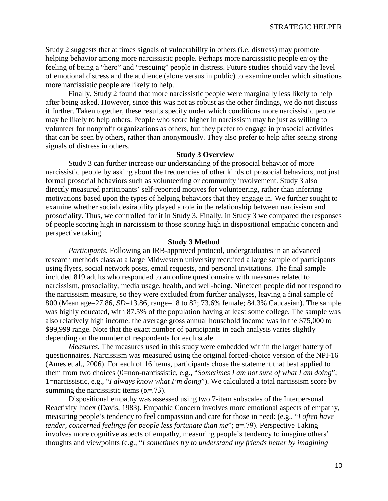Study 2 suggests that at times signals of vulnerability in others (i.e. distress) may promote helping behavior among more narcissistic people. Perhaps more narcissistic people enjoy the feeling of being a "hero" and "rescuing" people in distress. Future studies should vary the level of emotional distress and the audience (alone versus in public) to examine under which situations more narcissistic people are likely to help.

Finally, Study 2 found that more narcissistic people were marginally less likely to help after being asked. However, since this was not as robust as the other findings, we do not discuss it further. Taken together, these results specify under which conditions more narcissistic people may be likely to help others. People who score higher in narcissism may be just as willing to volunteer for nonprofit organizations as others, but they prefer to engage in prosocial activities that can be seen by others, rather than anonymously. They also prefer to help after seeing strong signals of distress in others.

## **Study 3 Overview**

Study 3 can further increase our understanding of the prosocial behavior of more narcissistic people by asking about the frequencies of other kinds of prosocial behaviors, not just formal prosocial behaviors such as volunteering or community involvement. Study 3 also directly measured participants' self-reported motives for volunteering, rather than inferring motivations based upon the types of helping behaviors that they engage in. We further sought to examine whether social desirability played a role in the relationship between narcissism and prosociality. Thus, we controlled for it in Study 3. Finally, in Study 3 we compared the responses of people scoring high in narcissism to those scoring high in dispositional empathic concern and perspective taking.

#### **Study 3 Method**

*Participants.* Following an IRB-approved protocol, undergraduates in an advanced research methods class at a large Midwestern university recruited a large sample of participants using flyers, social network posts, email requests, and personal invitations. The final sample included 819 adults who responded to an online questionnaire with measures related to narcissism, prosociality, media usage, health, and well-being. Nineteen people did not respond to the narcissism measure, so they were excluded from further analyses, leaving a final sample of 800 (Mean age=27.86, *SD*=13.86, range=18 to 82; 73.6% female; 84.3% Caucasian). The sample was highly educated, with 87.5% of the population having at least some college. The sample was also relatively high income: the average gross annual household income was in the \$75,000 to \$99,999 range. Note that the exact number of participants in each analysis varies slightly depending on the number of respondents for each scale.

*Measures.* The measures used in this study were embedded within the larger battery of questionnaires. Narcissism was measured using the original forced-choice version of the NPI-16 [\(Ames et al., 2006\)](#page-21-12). For each of 16 items, participants chose the statement that best applied to them from two choices (0=non-narcissistic, e.g., "*Sometimes I am not sure of what I am doing*"; 1=narcissistic, e.g., "*I always know what I'm doing*"). We calculated a total narcissism score by summing the narcissistic items  $(\alpha = 73)$ .

Dispositional empathy was assessed using two 7-item subscales of the Interpersonal Reactivity Index [\(Davis, 1983\)](#page-21-9). Empathic Concern involves more emotional aspects of empathy, measuring people's tendency to feel compassion and care for those in need: (e.g., "*I often have tender, concerned feelings for people less fortunate than me*"; α=.79). Perspective Taking involves more cognitive aspects of empathy, measuring people's tendency to imagine others' thoughts and viewpoints (e.g., "*I sometimes try to understand my friends better by imagining*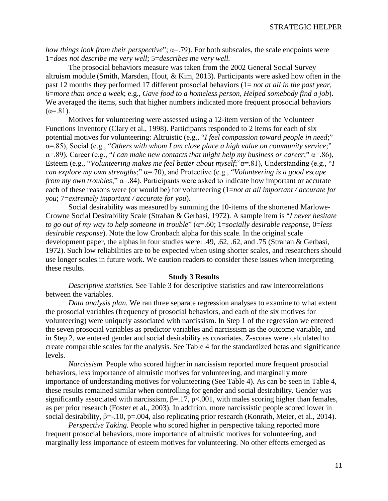*how things look from their perspective*"; α=.79). For both subscales, the scale endpoints were 1=*does not describe me very well*; 5=*describes me very well.*

The prosocial behaviors measure was taken from the 2002 General Social Survey altruism module [\(Smith, Marsden, Hout, & Kim, 2013\)](#page-23-10). Participants were asked how often in the past 12 months they performed 17 different prosocial behaviors (1= *not at all in the past year*, 6=*more than once a week*; e.g., *Gave food to a homeless person, Helped somebody find a job*). We averaged the items, such that higher numbers indicated more frequent prosocial behaviors  $(\alpha = 81)$ .

Motives for volunteering were assessed using a 12-item version of the Volunteer Functions Inventory [\(Clary et al., 1998\)](#page-21-6). Participants responded to 2 items for each of six potential motives for volunteering: Altruistic (e.g., "*I feel compassion toward people in need*;" α=.85), Social (e.g., "*Others with whom I am close place a high value on community service*;" α=.89), Career (e.g., "*I can make new contacts that might help my business or career*;" α=.86), Esteem (e.g., "*Volunteering makes me feel better about myself*;"α=.81), Understanding (e.g., "*I can explore my own strengths*;" α=.70), and Protective (e.g., "*Volunteering is a good escape from my own troubles*;" α=.84). Participants were asked to indicate how important or accurate each of these reasons were (or would be) for volunteering (1=*not at all important / accurate for you*; 7=*extremely important / accurate for you*).

Social desirability was measured by summing the 10-items of the shortened Marlowe-Crowne Social Desirability Scale [\(Strahan & Gerbasi, 1972\)](#page-23-11). A sample item is "*I never hesitate to go out of my way to help someone in trouble*" (α=.60; 1=*socially desirable response*, 0=*less desirable response*). Note the low Cronbach alpha for this scale. In the original scale development paper, the alphas in four studies were: .49, .62, .62, and .75 [\(Strahan & Gerbasi,](#page-23-11)  [1972\)](#page-23-11). Such low reliabilities are to be expected when using shorter scales, and researchers should use longer scales in future work. We caution readers to consider these issues when interpreting these results.

## **Study 3 Results**

*Descriptive statistics.* See Table 3 for descriptive statistics and raw intercorrelations between the variables.

*Data analysis plan.* We ran three separate regression analyses to examine to what extent the prosocial variables (frequency of prosocial behaviors, and each of the six motives for volunteering) were uniquely associated with narcissism. In Step 1 of the regression we entered the seven prosocial variables as predictor variables and narcissism as the outcome variable, and in Step 2, we entered gender and social desirability as covariates. Z-scores were calculated to create comparable scales for the analysis. See Table 4 for the standardized betas and significance levels.

*Narcissism.* People who scored higher in narcissism reported more frequent prosocial behaviors, less importance of altruistic motives for volunteering, and marginally more importance of understanding motives for volunteering (See Table 4). As can be seen in Table 4, these results remained similar when controlling for gender and social desirability. Gender was significantly associated with narcissism,  $\beta$ =.17, p<.001, with males scoring higher than females, as per prior research [\(Foster et al., 2003\)](#page-22-9). In addition, more narcissistic people scored lower in social desirability,  $\beta = -10$ , p=.004, also replicating prior research [\(Konrath, Meier, et al., 2014\)](#page-22-12).

*Perspective Taking.* People who scored higher in perspective taking reported more frequent prosocial behaviors, more importance of altruistic motives for volunteering, and marginally less importance of esteem motives for volunteering. No other effects emerged as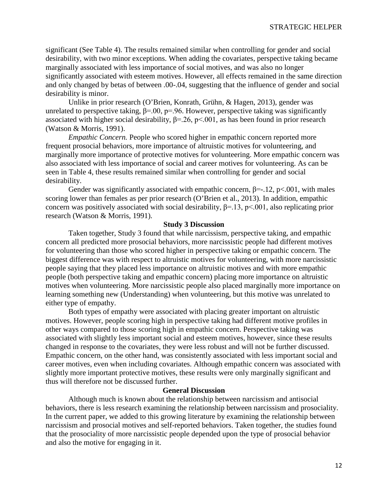significant (See Table 4). The results remained similar when controlling for gender and social desirability, with two minor exceptions. When adding the covariates, perspective taking became marginally associated with less importance of social motives, and was also no longer significantly associated with esteem motives. However, all effects remained in the same direction and only changed by betas of between .00-.04, suggesting that the influence of gender and social desirability is minor.

Unlike in prior research [\(O'Brien, Konrath, Grühn, & Hagen, 2013\)](#page-23-12), gender was unrelated to perspective taking,  $\beta$ =.00, p=.96. However, perspective taking was significantly associated with higher social desirability,  $\beta = 26$ ,  $p < 001$ , as has been found in prior research [\(Watson & Morris, 1991\)](#page-23-6).

*Empathic Concern.* People who scored higher in empathic concern reported more frequent prosocial behaviors, more importance of altruistic motives for volunteering, and marginally more importance of protective motives for volunteering. More empathic concern was also associated with less importance of social and career motives for volunteering. As can be seen in Table 4, these results remained similar when controlling for gender and social desirability.

Gender was significantly associated with empathic concern,  $\beta = -12$ , p<.001, with males scoring lower than females as per prior research [\(O'Brien et al., 2013\)](#page-23-12). In addition, empathic concern was positively associated with social desirability,  $β=13$ ,  $p<001$ , also replicating prior research [\(Watson & Morris, 1991\)](#page-23-6).

# **Study 3 Discussion**

Taken together, Study 3 found that while narcissism, perspective taking, and empathic concern all predicted more prosocial behaviors, more narcissistic people had different motives for volunteering than those who scored higher in perspective taking or empathic concern. The biggest difference was with respect to altruistic motives for volunteering, with more narcissistic people saying that they placed less importance on altruistic motives and with more empathic people (both perspective taking and empathic concern) placing more importance on altruistic motives when volunteering. More narcissistic people also placed marginally more importance on learning something new (Understanding) when volunteering, but this motive was unrelated to either type of empathy.

Both types of empathy were associated with placing greater important on altruistic motives. However, people scoring high in perspective taking had different motive profiles in other ways compared to those scoring high in empathic concern. Perspective taking was associated with slightly less important social and esteem motives, however, since these results changed in response to the covariates, they were less robust and will not be further discussed. Empathic concern, on the other hand, was consistently associated with less important social and career motives, even when including covariates. Although empathic concern was associated with slightly more important protective motives, these results were only marginally significant and thus will therefore not be discussed further.

## **General Discussion**

Although much is known about the relationship between narcissism and antisocial behaviors, there is less research examining the relationship between narcissism and prosociality. In the current paper, we added to this growing literature by examining the relationship between narcissism and prosocial motives and self-reported behaviors. Taken together, the studies found that the prosociality of more narcissistic people depended upon the type of prosocial behavior and also the motive for engaging in it.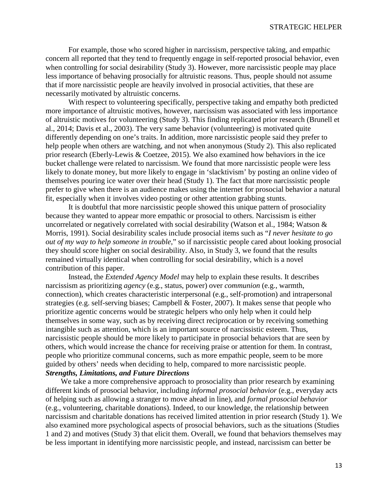For example, those who scored higher in narcissism, perspective taking, and empathic concern all reported that they tend to frequently engage in self-reported prosocial behavior, even when controlling for social desirability (Study 3). However, more narcissistic people may place less importance of behaving prosocially for altruistic reasons. Thus, people should not assume that if more narcissistic people are heavily involved in prosocial activities, that these are necessarily motivated by altruistic concerns.

With respect to volunteering specifically, perspective taking and empathy both predicted more importance of altruistic motives, however, narcissism was associated with less importance of altruistic motives for volunteering (Study 3). This finding replicated prior research [\(Brunell et](#page-21-5)  [al., 2014;](#page-21-5) [Davis et al., 2003\)](#page-21-11). The very same behavior (volunteering) is motivated quite differently depending on one's traits. In addition, more narcissistic people said they prefer to help people when others are watching, and not when anonymous (Study 2). This also replicated prior research [\(Eberly-Lewis & Coetzee, 2015\)](#page-22-5). We also examined how behaviors in the ice bucket challenge were related to narcissism. We found that more narcissistic people were less likely to donate money, but more likely to engage in 'slacktivism' by posting an online video of themselves pouring ice water over their head (Study 1). The fact that more narcissistic people prefer to give when there is an audience makes using the internet for prosocial behavior a natural fit, especially when it involves video posting or other attention grabbing stunts.

It is doubtful that more narcissistic people showed this unique pattern of prosociality because they wanted to appear more empathic or prosocial to others. Narcissism is either uncorrelated or negatively correlated with social desirability [\(Watson et al., 1984;](#page-23-0) [Watson &](#page-23-6)  [Morris, 1991\)](#page-23-6). Social desirability scales include prosocial items such as "*I never hesitate to go out of my way to help someone in trouble*," so if narcissistic people cared about looking prosocial they should score higher on social desirability. Also, in Study 3, we found that the results remained virtually identical when controlling for social desirability, which is a novel contribution of this paper.

Instead, the *Extended Agency Model* may help to explain these results. It describes narcissism as prioritizing *agency* (e.g., status, power) over *communion* (e.g., warmth, connection), which creates characteristic interpersonal (e.g., self-promotion) and intrapersonal strategies (e.g. self-serving biases; Campbell  $& Foster, 2007$ ). It makes sense that people who prioritize agentic concerns would be strategic helpers who only help when it could help themselves in some way, such as by receiving direct reciprocation or by receiving something intangible such as attention, which is an important source of narcissistic esteem. Thus, narcissistic people should be more likely to participate in prosocial behaviors that are seen by others, which would increase the chance for receiving praise or attention for them. In contrast, people who prioritize communal concerns, such as more empathic people, seem to be more guided by others' needs when deciding to help, compared to more narcissistic people. *Strengths, Limitations, and Future Directions*

We take a more comprehensive approach to prosociality than prior research by examining different kinds of prosocial behavior, including *informal prosocial behavior* (e.g., everyday acts of helping such as allowing a stranger to move ahead in line), and *formal prosocial behavior* (e.g., volunteering, charitable donations). Indeed, to our knowledge, the relationship between narcissism and charitable donations has received limited attention in prior research (Study 1). We also examined more psychological aspects of prosocial behaviors, such as the situations (Studies 1 and 2) and motives (Study 3) that elicit them. Overall, we found that behaviors themselves may be less important in identifying more narcissistic people, and instead, narcissism can better be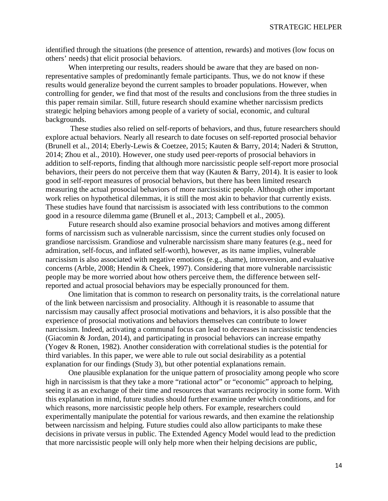identified through the situations (the presence of attention, rewards) and motives (low focus on others' needs) that elicit prosocial behaviors.

When interpreting our results, readers should be aware that they are based on nonrepresentative samples of predominantly female participants. Thus, we do not know if these results would generalize beyond the current samples to broader populations. However, when controlling for gender, we find that most of the results and conclusions from the three studies in this paper remain similar. Still, future research should examine whether narcissism predicts strategic helping behaviors among people of a variety of social, economic, and cultural backgrounds.

These studies also relied on self-reports of behaviors, and thus, future researchers should explore actual behaviors. Nearly all research to date focuses on self-reported prosocial behavior [\(Brunell et al., 2014;](#page-21-5) [Eberly-Lewis & Coetzee, 2015;](#page-22-5) [Kauten & Barry, 2014;](#page-22-4) [Naderi & Strutton,](#page-23-13)  [2014;](#page-23-13) [Zhou et al., 2010\)](#page-23-4). However, one study used peer-reports of prosocial behaviors in addition to self-reports, finding that although more narcissistic people self-report more prosocial behaviors, their peers do not perceive them that way [\(Kauten & Barry, 2014\)](#page-22-4). It is easier to look good in self-report measures of prosocial behaviors, but there has been limited research measuring the actual prosocial behaviors of more narcissistic people. Although other important work relies on hypothetical dilemmas, it is still the most akin to behavior that currently exists. These studies have found that narcissism is associated with less contributions to the common good in a resource dilemma game [\(Brunell et al., 2013;](#page-21-7) [Campbell et al., 2005\)](#page-21-8).

Future research should also examine prosocial behaviors and motives among different forms of narcissism such as vulnerable narcissism, since the current studies only focused on grandiose narcissism. Grandiose and vulnerable narcissism share many features (e.g., need for admiration, self-focus, and inflated self-worth), however, as its name implies, vulnerable narcissism is also associated with negative emotions (e.g., shame), introversion, and evaluative concerns [\(Arble, 2008;](#page-21-15) [Hendin & Cheek, 1997\)](#page-22-14). Considering that more vulnerable narcissistic people may be more worried about how others perceive them, the difference between selfreported and actual prosocial behaviors may be especially pronounced for them.

One limitation that is common to research on personality traits, is the correlational nature of the link between narcissism and prosociality. Although it is reasonable to assume that narcissism may causally affect prosocial motivations and behaviors, it is also possible that the experience of prosocial motivations and behaviors themselves can contribute to lower narcissism. Indeed, activating a communal focus can lead to decreases in narcissistic tendencies [\(Giacomin & Jordan, 2014\)](#page-22-15), and participating in prosocial behaviors can increase empathy [\(Yogev & Ronen, 1982\)](#page-23-14). Another consideration with correlational studies is the potential for third variables. In this paper, we were able to rule out social desirability as a potential explanation for our findings (Study 3), but other potential explanations remain.

One plausible explanation for the unique pattern of prosociality among people who score high in narcissism is that they take a more "rational actor" or "economic" approach to helping, seeing it as an exchange of their time and resources that warrants reciprocity in some form. With this explanation in mind, future studies should further examine under which conditions, and for which reasons, more narcissistic people help others. For example, researchers could experimentally manipulate the potential for various rewards, and then examine the relationship between narcissism and helping. Future studies could also allow participants to make these decisions in private versus in public. The Extended Agency Model would lead to the prediction that more narcissistic people will only help more when their helping decisions are public,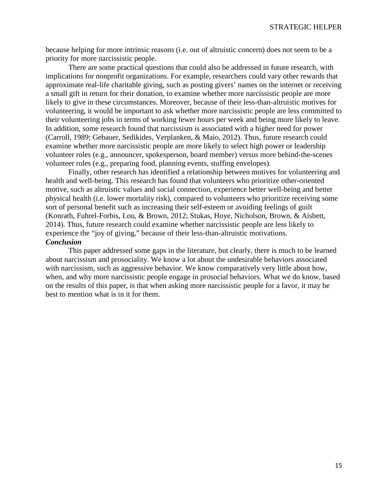because helping for more intrinsic reasons (i.e. out of altruistic concern) does not seem to be a priority for more narcissistic people.

There are some practical questions that could also be addressed in future research, with implications for nonprofit organizations. For example, researchers could vary other rewards that approximate real-life charitable giving, such as posting givers' names on the internet or receiving a small gift in return for their donation, to examine whether more narcissistic people are more likely to give in these circumstances. Moreover, because of their less-than-altruistic motives for volunteering, it would be important to ask whether more narcissistic people are less committed to their volunteering jobs in terms of working fewer hours per week and being more likely to leave. In addition, some research found that narcissism is associated with a higher need for power [\(Carroll, 1989;](#page-21-16) [Gebauer, Sedikides, Verplanken, & Maio, 2012\)](#page-22-16). Thus, future research could examine whether more narcissistic people are more likely to select high power or leadership volunteer roles (e.g., announcer, spokesperson, board member) versus more behind-the-scenes volunteer roles (e.g., preparing food, planning events, stuffing envelopes).

Finally, other research has identified a relationship between motives for volunteering and health and well-being. This research has found that volunteers who prioritize other-oriented motive, such as altruistic values and social connection, experience better well-being and better physical health (i.e. lower mortality risk), compared to volunteers who prioritize receiving some sort of personal benefit such as increasing their self-esteem or avoiding feelings of guilt [\(Konrath, Fuhrel-Forbis, Lou, & Brown, 2012;](#page-22-17) [Stukas, Hoye, Nicholson, Brown, & Aisbett,](#page-23-15)  [2014\)](#page-23-15). Thus, future research could examine whether narcissistic people are less likely to experience the "joy of giving," because of their less-than-altruistic motivations. *Conclusion*

This paper addressed some gaps in the literature, but clearly, there is much to be learned about narcissism and prosociality. We know a lot about the undesirable behaviors associated with narcissism, such as aggressive behavior. We know comparatively very little about how, when, and why more narcissistic people engage in prosocial behaviors. What we do know, based on the results of this paper, is that when asking more narcissistic people for a favor, it may be best to mention what is in it for them.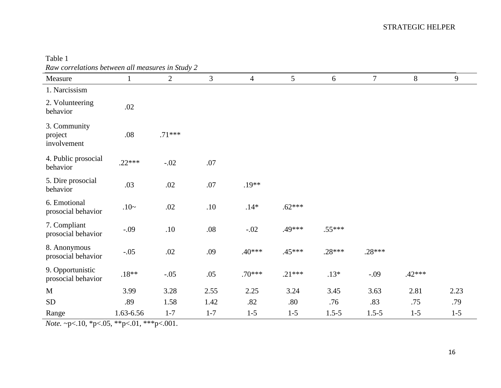| Raw correlations between all measures in Study 2 |              |                |                |                |          |           |                |          |         |
|--------------------------------------------------|--------------|----------------|----------------|----------------|----------|-----------|----------------|----------|---------|
| Measure                                          | $\mathbf{1}$ | $\overline{2}$ | $\overline{3}$ | $\overline{4}$ | 5        | 6         | $\overline{7}$ | 8        | 9       |
| 1. Narcissism                                    |              |                |                |                |          |           |                |          |         |
| 2. Volunteering<br>behavior                      | .02          |                |                |                |          |           |                |          |         |
| 3. Community<br>project<br>involvement           | .08          | $.71***$       |                |                |          |           |                |          |         |
| 4. Public prosocial<br>behavior                  | $.22***$     | $-.02$         | $.07$          |                |          |           |                |          |         |
| 5. Dire prosocial<br>behavior                    | .03          | .02            | .07            | $.19**$        |          |           |                |          |         |
| 6. Emotional<br>prosocial behavior               | .10 $\sim$   | .02            | .10            | $.14*$         | $.62***$ |           |                |          |         |
| 7. Compliant<br>prosocial behavior               | $-.09$       | .10            | .08            | $-.02$         | .49***   | $.55***$  |                |          |         |
| 8. Anonymous<br>prosocial behavior               | $-.05$       | $.02\,$        | .09            | $.40***$       | $.45***$ | $.28***$  | $.28***$       |          |         |
| 9. Opportunistic<br>prosocial behavior           | $.18**$      | $-.05$         | .05            | $.70***$       | $.21***$ | $.13*$    | $-.09$         | $.42***$ |         |
| $\mathbf{M}$                                     | 3.99         | 3.28           | 2.55           | 2.25           | 3.24     | 3.45      | 3.63           | 2.81     | 2.23    |
| <b>SD</b>                                        | .89          | 1.58           | 1.42           | .82            | .80      | .76       | .83            | .75      | .79     |
| Range                                            | 1.63-6.56    | $1 - 7$        | $1 - 7$        | $1 - 5$        | $1 - 5$  | $1.5 - 5$ | $1.5 - 5$      | $1 - 5$  | $1 - 5$ |

Table 1

*Note.* ~p<.10, \*p<.05, \*\*p<.01, \*\*\*p<.001.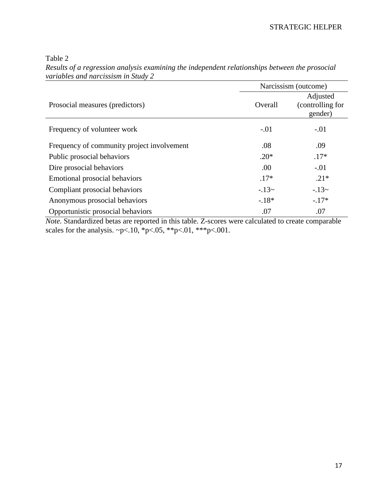Table 2

*Results of a regression analysis examining the independent relationships between the prosocial variables and narcissism in Study 2*

|                                            | Narcissism (outcome) |                                         |  |  |
|--------------------------------------------|----------------------|-----------------------------------------|--|--|
| Prosocial measures (predictors)            | Overall              | Adjusted<br>(controlling for<br>gender) |  |  |
| Frequency of volunteer work                | $-.01$               | $-.01$                                  |  |  |
| Frequency of community project involvement | .08                  | .09                                     |  |  |
| Public prosocial behaviors                 | $.20*$               | $.17*$                                  |  |  |
| Dire prosocial behaviors                   | .00                  | $-.01$                                  |  |  |
| Emotional prosocial behaviors              | $.17*$               | $.21*$                                  |  |  |
| Compliant prosocial behaviors              | $-.13-$              | $-13-$                                  |  |  |
| Anonymous prosocial behaviors              | $-.18*$              | $-.17*$                                 |  |  |
| Opportunistic prosocial behaviors          | .07                  | .07                                     |  |  |

*Note.* Standardized betas are reported in this table. Z-scores were calculated to create comparable scales for the analysis. ~p<.10, \*p<.05, \*\*p<.01, \*\*\*p<.001.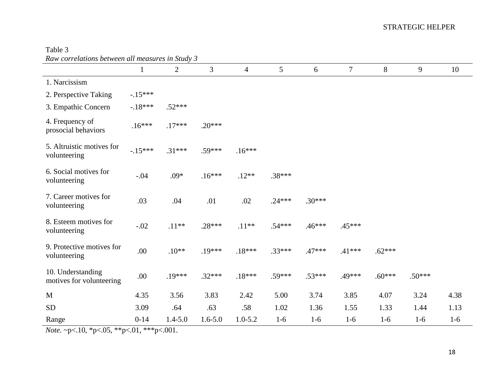| Raw corretations between all measures in Stuay 5 | $\mathbf{1}$ | $\overline{2}$ | 3           | $\overline{4}$ | $5\overline{)}$ | 6        | $\tau$   | 8        | 9        | 10    |
|--------------------------------------------------|--------------|----------------|-------------|----------------|-----------------|----------|----------|----------|----------|-------|
| 1. Narcissism                                    |              |                |             |                |                 |          |          |          |          |       |
| 2. Perspective Taking                            | $-15***$     |                |             |                |                 |          |          |          |          |       |
| 3. Empathic Concern                              | $-18***$     | $.52***$       |             |                |                 |          |          |          |          |       |
| 4. Frequency of<br>prosocial behaviors           | $.16***$     | $.17***$       | $.20***$    |                |                 |          |          |          |          |       |
| 5. Altruistic motives for<br>volunteering        | $-15***$     | $.31***$       | $.59***$    | $.16***$       |                 |          |          |          |          |       |
| 6. Social motives for<br>volunteering            | $-.04$       | $.09*$         | $.16***$    | $.12**$        | $.38***$        |          |          |          |          |       |
| 7. Career motives for<br>volunteering            | .03          | .04            | .01         | .02            | $.24***$        | $.30***$ |          |          |          |       |
| 8. Esteem motives for<br>volunteering            | $-.02$       | $.11**$        | $.28***$    | $.11**$        | $.54***$        | $.46***$ | $.45***$ |          |          |       |
| 9. Protective motives for<br>volunteering        | .00.         | $.10**$        | $.19***$    | $.18***$       | $.33***$        | $.47***$ | $.41***$ | $.62***$ |          |       |
| 10. Understanding<br>motives for volunteering    | .00.         | $.19***$       | $.32***$    | $.18***$       | $.59***$        | $.53***$ | .49***   | $.60***$ | $.50***$ |       |
| $\mathbf M$                                      | 4.35         | 3.56           | 3.83        | 2.42           | 5.00            | 3.74     | 3.85     | 4.07     | 3.24     | 4.38  |
| ${\rm SD}$                                       | 3.09         | .64            | .63         | .58            | 1.02            | 1.36     | 1.55     | 1.33     | 1.44     | 1.13  |
| Range                                            | $0 - 14$     | $1.4 - 5.0$    | $1.6 - 5.0$ | $1.0 - 5.2$    | $1-6$           | $1-6$    | $1-6$    | $1-6$    | $1-6$    | $1-6$ |

Table 3 *Raw correlations between all measures in Study 3*

*Note.* ~p<.10, \*p<.05, \*\*p<.01, \*\*\*p<.001.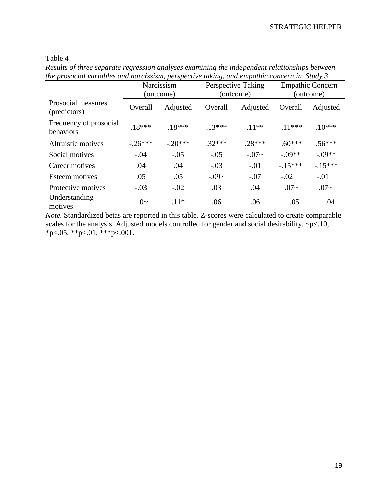# Table 4

*Results of three separate regression analyses examining the independent relationships between the prosocial variables and narcissism, perspective taking, and empathic concern in Study 3*

|                                     | Narcissism<br>(outcome) |           |          | Perspective Taking<br>(outcome) | <b>Empathic Concern</b><br>(outcome) |           |  |
|-------------------------------------|-------------------------|-----------|----------|---------------------------------|--------------------------------------|-----------|--|
| Prosocial measures<br>(predictors)  | Overall                 | Adjusted  | Overall  | Adjusted                        | Overall                              | Adjusted  |  |
| Frequency of prosocial<br>behaviors | $.18***$                | $.18***$  | $.13***$ | $.11**$                         | $.11***$                             | $.10***$  |  |
| Altruistic motives                  | $-.26***$               | $-.20***$ | $.32***$ | $.28***$                        | $.60***$                             | $.56***$  |  |
| Social motives                      | $-.04$                  | $-.05$    | $-.05$   | $-.07-$                         | $-.09**$                             | $-.09**$  |  |
| Career motives                      | .04                     | .04       | $-.03$   | $-.01$                          | $-15***$                             | $-.15***$ |  |
| Esteem motives                      | .05                     | .05       | $-.09-$  | $-.07$                          | $-.02$                               | $-.01$    |  |
| Protective motives                  | $-.03$                  | $-.02$    | .03      | .04                             | $.07-$                               | $.07 -$   |  |
| Understanding<br>motives            | $.10-$                  | $.11*$    | .06      | .06                             | .05                                  | .04       |  |

*Note.* Standardized betas are reported in this table. Z-scores were calculated to create comparable scales for the analysis. Adjusted models controlled for gender and social desirability. ~p<.10,  $*p<.05$ ,  $*p<.01$ ,  $**p<.001$ .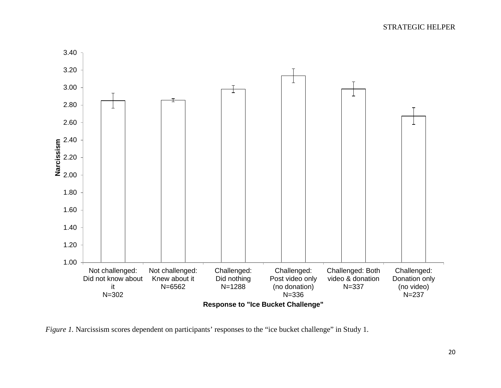

*Figure 1.* Narcissism scores dependent on participants' responses to the "ice bucket challenge" in Study 1.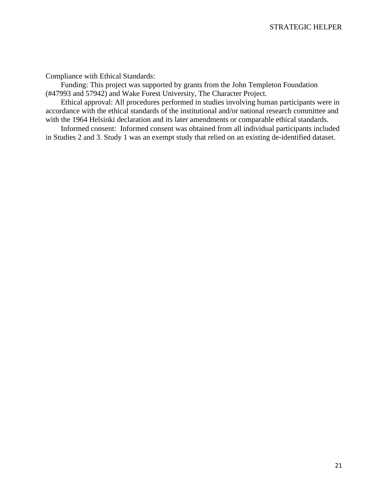Compliance with Ethical Standards:

Funding: This project was supported by grants from the John Templeton Foundation (#47993 and 57942) and Wake Forest University, The Character Project.

Ethical approval: All procedures performed in studies involving human participants were in accordance with the ethical standards of the institutional and/or national research committee and with the 1964 Helsinki declaration and its later amendments or comparable ethical standards.

Informed consent: Informed consent was obtained from all individual participants included in Studies 2 and 3. Study 1 was an exempt study that relied on an existing de-identified dataset.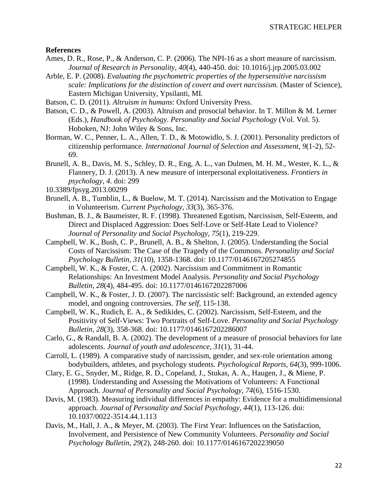## **References**

- <span id="page-21-12"></span>Ames, D. R., Rose, P., & Anderson, C. P. (2006). The NPI-16 as a short measure of narcissism. *Journal of Research in Personality, 40*(4), 440-450. doi: 10.1016/j.jrp.2005.03.002
- <span id="page-21-15"></span>Arble, E. P. (2008). *Evaluating the psychometric properties of the hypersensitive narcissism scale: Implications for the distinction of covert and overt narcissism.* (Master of Science), Eastern Michigan University, Ypsilanti, MI.
- <span id="page-21-1"></span>Batson, C. D. (2011). *Altruism in humans*: Oxford University Press.
- <span id="page-21-0"></span>Batson, C. D., & Powell, A. (2003). Altruism and prosocial behavior. In T. Millon & M. Lerner (Eds.), *Handbook of Psychology. Personality and Social Psychology* (Vol. Vol. 5). Hoboken, NJ: John Wiley & Sons, Inc.
- <span id="page-21-10"></span>Borman, W. C., Penner, L. A., Allen, T. D., & Motowidlo, S. J. (2001). Personality predictors of citizenship performance. *International Journal of Selection and Assessment, 9*(1‐2), 52- 69.
- <span id="page-21-7"></span>Brunell, A. B., Davis, M. S., Schley, D. R., Eng, A. L., van Dulmen, M. H. M., Wester, K. L., & Flannery, D. J. (2013). A new measure of interpersonal exploitativeness. *Frontiers in psychology, 4*. doi: 299
- 10.3389/fpsyg.2013.00299
- <span id="page-21-5"></span>Brunell, A. B., Tumblin, L., & Buelow, M. T. (2014). Narcissism and the Motivation to Engage in Volunteerism. *Current Psychology, 33*(3), 365-376.
- <span id="page-21-4"></span>Bushman, B. J., & Baumeister, R. F. (1998). Threatened Egotism, Narcissism, Self-Esteem, and Direct and Displaced Aggression: Does Self-Love or Self-Hate Lead to Violence? *Journal of Personality and Social Psychology, 75*(1), 219-229.
- <span id="page-21-8"></span>Campbell, W. K., Bush, C. P., Brunell, A. B., & Shelton, J. (2005). Understanding the Social Costs of Narcissism: The Case of the Tragedy of the Commons. *Personality and Social Psychology Bulletin, 31*(10), 1358-1368. doi: 10.1177/0146167205274855
- <span id="page-21-3"></span>Campbell, W. K., & Foster, C. A. (2002). Narcissism and Commitment in Romantic Relationships: An Investment Model Analysis. *Personality and Social Psychology Bulletin, 28*(4), 484-495. doi: 10.1177/0146167202287006
- <span id="page-21-14"></span>Campbell, W. K., & Foster, J. D. (2007). The narcissistic self: Background, an extended agency model, and ongoing controversies. *The self*, 115-138.
- <span id="page-21-2"></span>Campbell, W. K., Rudich, E. A., & Sedikides, C. (2002). Narcissism, Self-Esteem, and the Positivity of Self-Views: Two Portraits of Self-Love. *Personality and Social Psychology Bulletin, 28*(3), 358-368. doi: 10.1177/0146167202286007
- <span id="page-21-13"></span>Carlo, G., & Randall, B. A. (2002). The development of a measure of prosocial behaviors for late adolescents. *Journal of youth and adolescence, 31*(1), 31-44.
- <span id="page-21-16"></span>Carroll, L. (1989). A comparative study of narcissism, gender, and sex-role orientation among bodybuilders, athletes, and psychology students. *Psychological Reports, 64*(3), 999-1006.
- <span id="page-21-6"></span>Clary, E. G., Snyder, M., Ridge, R. D., Copeland, J., Stukas, A. A., Haugen, J., & Miene, P. (1998). Understanding and Assessing the Motivations of Volunteers: A Functional Approach. *Journal of Personality and Social Psychology, 74*(6), 1516-1530.
- <span id="page-21-9"></span>Davis, M. (1983). Measuring individual differences in empathy: Evidence for a multidimensional approach. *Journal of Personality and Social Psychology, 44*(1), 113-126. doi: 10.1037/0022-3514.44.1.113
- <span id="page-21-11"></span>Davis, M., Hall, J. A., & Meyer, M. (2003). The First Year: Influences on the Satisfaction, Involvement, and Persistence of New Community Volunteers. *Personality and Social Psychology Bulletin, 29*(2), 248-260. doi: 10.1177/0146167202239050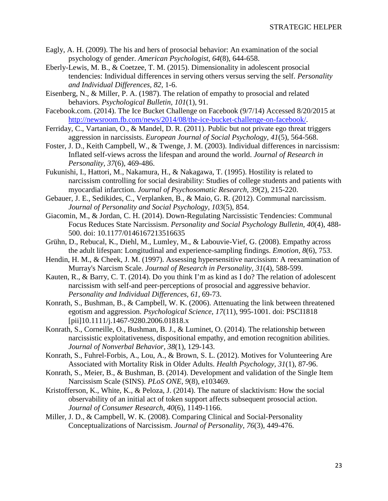- <span id="page-22-8"></span>Eagly, A. H. (2009). The his and hers of prosocial behavior: An examination of the social psychology of gender. *American Psychologist, 64*(8), 644-658.
- <span id="page-22-5"></span>Eberly-Lewis, M. B., & Coetzee, T. M. (2015). Dimensionality in adolescent prosocial tendencies: Individual differences in serving others versus serving the self. *Personality and Individual Differences, 82*, 1-6.
- <span id="page-22-6"></span>Eisenberg, N., & Miller, P. A. (1987). The relation of empathy to prosocial and related behaviors. *Psychological Bulletin, 101*(1), 91.
- <span id="page-22-11"></span>Facebook.com. (2014). The Ice Bucket Challenge on Facebook (9/7/14) Accessed 8/20/2015 at [http://newsroom.fb.com/news/2014/08/the-ice-bucket-challenge-on-facebook/.](http://newsroom.fb.com/news/2014/08/the-ice-bucket-challenge-on-facebook/)
- <span id="page-22-7"></span>Ferriday, C., Vartanian, O., & Mandel, D. R. (2011). Public but not private ego threat triggers aggression in narcissists. *European Journal of Social Psychology, 41*(5), 564-568.
- <span id="page-22-9"></span>Foster, J. D., Keith Campbell, W., & Twenge, J. M. (2003). Individual differences in narcissism: Inflated self-views across the lifespan and around the world. *Journal of Research in Personality, 37*(6), 469-486.
- <span id="page-22-1"></span>Fukunishi, I., Hattori, M., Nakamura, H., & Nakagawa, T. (1995). Hostility is related to narcissism controlling for social desirability: Studies of college students and patients with myocardial infarction. *Journal of Psychosomatic Research, 39*(2), 215-220.
- <span id="page-22-16"></span>Gebauer, J. E., Sedikides, C., Verplanken, B., & Maio, G. R. (2012). Communal narcissism. *Journal of Personality and Social Psychology, 103*(5), 854.
- <span id="page-22-15"></span>Giacomin, M., & Jordan, C. H. (2014). Down-Regulating Narcissistic Tendencies: Communal Focus Reduces State Narcissism. *Personality and Social Psychology Bulletin, 40*(4), 488- 500. doi: 10.1177/0146167213516635
- <span id="page-22-10"></span>Grühn, D., Rebucal, K., Diehl, M., Lumley, M., & Labouvie-Vief, G. (2008). Empathy across the adult lifespan: Longitudinal and experience-sampling findings. *Emotion, 8*(6), 753.
- <span id="page-22-14"></span>Hendin, H. M., & Cheek, J. M. (1997). Assessing hypersensitive narcissism: A reexamination of Murray's Narcism Scale. *Journal of Research in Personality, 31*(4), 588-599.
- <span id="page-22-4"></span>Kauten, R., & Barry, C. T. (2014). Do you think I'm as kind as I do? The relation of adolescent narcissism with self-and peer-perceptions of prosocial and aggressive behavior. *Personality and Individual Differences, 61*, 69-73.
- <span id="page-22-2"></span>Konrath, S., Bushman, B., & Campbell, W. K. (2006). Attenuating the link between threatened egotism and aggression. *Psychological Science, 17*(11), 995-1001. doi: PSCI1818 [pii]10.1111/j.1467-9280.2006.01818.x
- <span id="page-22-13"></span>Konrath, S., Corneille, O., Bushman, B. J., & Luminet, O. (2014). The relationship between narcissistic exploitativeness, dispositional empathy, and emotion recognition abilities. *Journal of Nonverbal Behavior, 38*(1), 129-143.
- <span id="page-22-17"></span>Konrath, S., Fuhrel-Forbis, A., Lou, A., & Brown, S. L. (2012). Motives for Volunteering Are Associated with Mortality Risk in Older Adults. *Health Psychology, 31*(1), 87-96.
- <span id="page-22-12"></span>Konrath, S., Meier, B., & Bushman, B. (2014). Development and validation of the Single Item Narcissism Scale (SINS). *PLoS ONE, 9*(8), e103469.
- <span id="page-22-3"></span>Kristofferson, K., White, K., & Peloza, J. (2014). The nature of slacktivism: How the social observability of an initial act of token support affects subsequent prosocial action. *Journal of Consumer Research, 40*(6), 1149-1166.
- <span id="page-22-0"></span>Miller, J. D., & Campbell, W. K. (2008). Comparing Clinical and Social-Personality Conceptualizations of Narcissism. *Journal of Personality, 76*(3), 449-476.